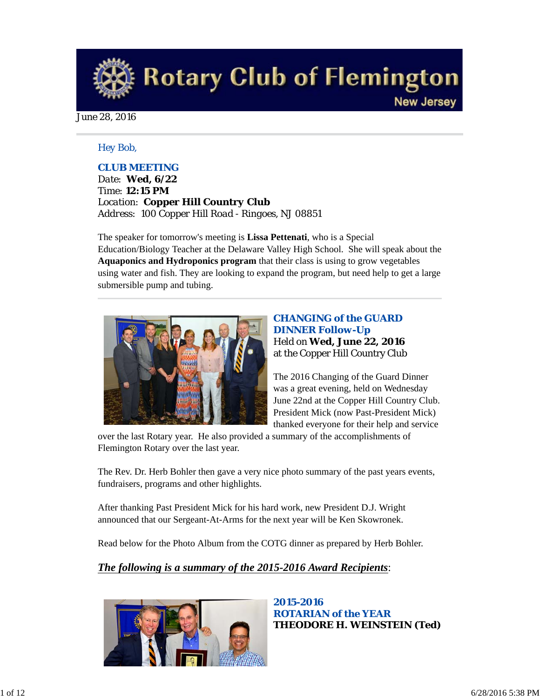**Rotary Club of Flemington New Jersey** 

June 28, 2016

## *Hey Bob,*

## *CLUB MEETING*

*Date: Wed, 6/22 Time: 12:15 PM Location: Copper Hill Country Club Address: 100 Copper Hill Road - Ringoes, NJ 08851*

The speaker for tomorrow's meeting is **Lissa Pettenati**, who is a Special Education/Biology Teacher at the Delaware Valley High School. She will speak about the **Aquaponics and Hydroponics program** that their class is using to grow vegetables using water and fish. They are looking to expand the program, but need help to get a large submersible pump and tubing.



## *CHANGING of the GUARD DINNER Follow-Up* Held on **Wed, June 22, 2016** at the Copper Hill Country Club

The 2016 Changing of the Guard Dinner was a great evening, held on Wednesday June 22nd at the Copper Hill Country Club. President Mick (now Past-President Mick) thanked everyone for their help and service

over the last Rotary year. He also provided a summary of the accomplishments of Flemington Rotary over the last year.

The Rev. Dr. Herb Bohler then gave a very nice photo summary of the past years events, fundraisers, programs and other highlights.

After thanking Past President Mick for his hard work, new President D.J. Wright announced that our Sergeant-At-Arms for the next year will be Ken Skowronek.

Read below for the Photo Album from the COTG dinner as prepared by Herb Bohler.

## *The following is a summary of the 2015-2016 Award Recipients*:



*2015-2016 ROTARIAN of the YEAR* **THEODORE H. WEINSTEIN (Ted)**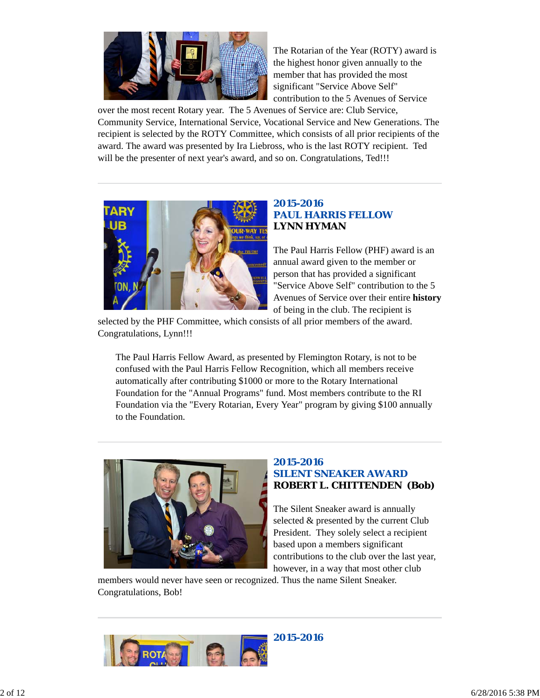

The Rotarian of the Year (ROTY) award is the highest honor given annually to the member that has provided the most significant "Service Above Self" contribution to the 5 Avenues of Service

over the most recent Rotary year. The 5 Avenues of Service are: Club Service, Community Service, International Service, Vocational Service and New Generations. The recipient is selected by the ROTY Committee, which consists of all prior recipients of the award. The award was presented by Ira Liebross, who is the last ROTY recipient. Ted will be the presenter of next year's award, and so on. Congratulations, Ted!!!



## *2015-2016 PAUL HARRIS FELLOW* **LYNN HYMAN**

The Paul Harris Fellow (PHF) award is an annual award given to the member or person that has provided a significant "Service Above Self" contribution to the 5 Avenues of Service over their entire **history** of being in the club. The recipient is

selected by the PHF Committee, which consists of all prior members of the award. Congratulations, Lynn!!!

The Paul Harris Fellow Award, as presented by Flemington Rotary, is not to be confused with the Paul Harris Fellow Recognition, which all members receive automatically after contributing \$1000 or more to the Rotary International Foundation for the "Annual Programs" fund. Most members contribute to the RI Foundation via the "Every Rotarian, Every Year" program by giving \$100 annually to the Foundation.



## *2015-2016 SILENT SNEAKER AWARD* **ROBERT L. CHITTENDEN (Bob)**

The Silent Sneaker award is annually selected & presented by the current Club President. They solely select a recipient based upon a members significant contributions to the club over the last year, however, in a way that most other club

members would never have seen or recognized. Thus the name Silent Sneaker. Congratulations, Bob!

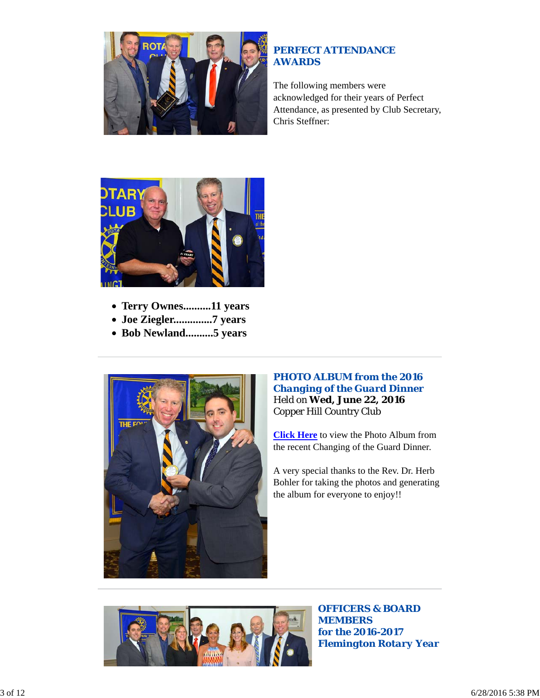

## *PERFECT ATTENDANCE AWARDS*

The following members were acknowledged for their years of Perfect Attendance, as presented by Club Secretary, Chris Steffner:



- **Terry Ownes..........11 years**
- **Joe Ziegler..............7 years**
- **Bob Newland..........5 years**



## *PHOTO ALBUM from the 2016 Changing of the Guard Dinner* Held on **Wed, June 22, 2016** Copper Hill Country Club

**Click Here** to view the Photo Album from the recent Changing of the Guard Dinner.

A very special thanks to the Rev. Dr. Herb Bohler for taking the photos and generating the album for everyone to enjoy!!



*OFFICERS & BOARD MEMBERS for the 2016-2017 Flemington Rotary Year*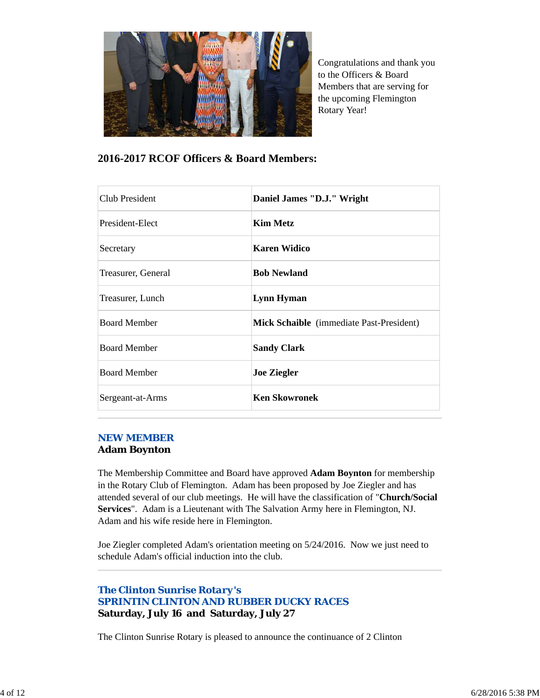

Congratulations and thank you to the Officers & Board Members that are serving for the upcoming Flemington Rotary Year!

## **2016-2017 RCOF Officers & Board Members:**

| <b>Club President</b> | Daniel James "D.J." Wright               |
|-----------------------|------------------------------------------|
| President-Elect       | <b>Kim Metz</b>                          |
| Secretary             | <b>Karen Widico</b>                      |
| Treasurer, General    | <b>Bob Newland</b>                       |
| Treasurer, Lunch      | Lynn Hyman                               |
| <b>Board Member</b>   | Mick Schaible (immediate Past-President) |
| <b>Board Member</b>   | <b>Sandy Clark</b>                       |
| <b>Board Member</b>   | <b>Joe Ziegler</b>                       |
| Sergeant-at-Arms      | <b>Ken Skowronek</b>                     |

### *NEW MEMBER*

### **Adam Boynton**

The Membership Committee and Board have approved **Adam Boynton** for membership in the Rotary Club of Flemington. Adam has been proposed by Joe Ziegler and has attended several of our club meetings. He will have the classification of "**Church/Social Services**". Adam is a Lieutenant with The Salvation Army here in Flemington, NJ. Adam and his wife reside here in Flemington.

Joe Ziegler completed Adam's orientation meeting on 5/24/2016. Now we just need to schedule Adam's official induction into the club.

## *The Clinton Sunrise Rotary's SPRINTIN CLINTON AND RUBBER DUCKY RACES* **Saturday, July 16 and Saturday, July 27**

The Clinton Sunrise Rotary is pleased to announce the continuance of 2 Clinton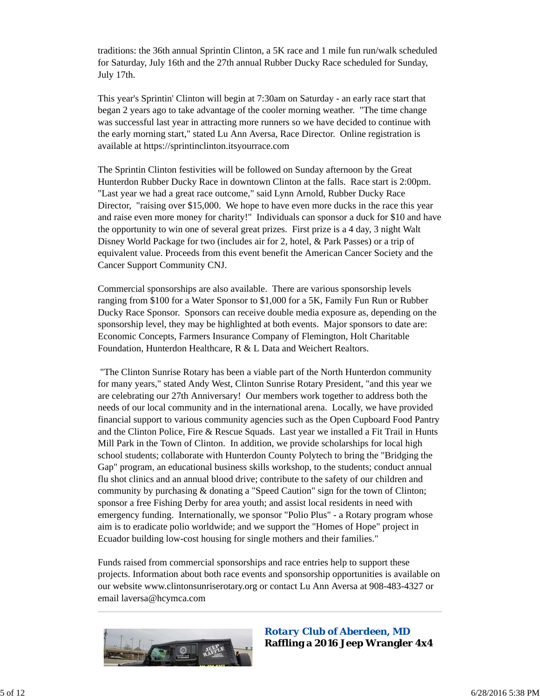traditions: the 36th annual Sprintin Clinton, a 5K race and 1 mile fun run/walk scheduled for Saturday, July 16th and the 27th annual Rubber Ducky Race scheduled for Sunday, July 17th.

This year's Sprintin' Clinton will begin at 7:30am on Saturday - an early race start that began 2 years ago to take advantage of the cooler morning weather. "The time change was successful last year in attracting more runners so we have decided to continue with the early morning start," stated Lu Ann Aversa, Race Director. Online registration is available at https://sprintinclinton.itsyourrace.com

The Sprintin Clinton festivities will be followed on Sunday afternoon by the Great Hunterdon Rubber Ducky Race in downtown Clinton at the falls. Race start is 2:00pm. "Last year we had a great race outcome," said Lynn Arnold, Rubber Ducky Race Director, "raising over \$15,000. We hope to have even more ducks in the race this year and raise even more money for charity!" Individuals can sponsor a duck for \$10 and have the opportunity to win one of several great prizes. First prize is a 4 day, 3 night Walt Disney World Package for two (includes air for 2, hotel, & Park Passes) or a trip of equivalent value. Proceeds from this event benefit the American Cancer Society and the Cancer Support Community CNJ.

Commercial sponsorships are also available. There are various sponsorship levels ranging from \$100 for a Water Sponsor to \$1,000 for a 5K, Family Fun Run or Rubber Ducky Race Sponsor. Sponsors can receive double media exposure as, depending on the sponsorship level, they may be highlighted at both events. Major sponsors to date are: Economic Concepts, Farmers Insurance Company of Flemington, Holt Charitable Foundation, Hunterdon Healthcare, R & L Data and Weichert Realtors.

 "The Clinton Sunrise Rotary has been a viable part of the North Hunterdon community for many years," stated Andy West, Clinton Sunrise Rotary President, "and this year we are celebrating our 27th Anniversary! Our members work together to address both the needs of our local community and in the international arena. Locally, we have provided financial support to various community agencies such as the Open Cupboard Food Pantry and the Clinton Police, Fire & Rescue Squads. Last year we installed a Fit Trail in Hunts Mill Park in the Town of Clinton. In addition, we provide scholarships for local high school students; collaborate with Hunterdon County Polytech to bring the "Bridging the Gap" program, an educational business skills workshop, to the students; conduct annual flu shot clinics and an annual blood drive; contribute to the safety of our children and community by purchasing & donating a "Speed Caution" sign for the town of Clinton; sponsor a free Fishing Derby for area youth; and assist local residents in need with emergency funding. Internationally, we sponsor "Polio Plus" - a Rotary program whose aim is to eradicate polio worldwide; and we support the "Homes of Hope" project in Ecuador building low-cost housing for single mothers and their families."

Funds raised from commercial sponsorships and race entries help to support these projects. Information about both race events and sponsorship opportunities is available on our website www.clintonsunriserotary.org or contact Lu Ann Aversa at 908-483-4327 or email laversa@hcymca.com



*Rotary Club of Aberdeen, MD* **Raffling a 2016 Jeep Wrangler 4x4**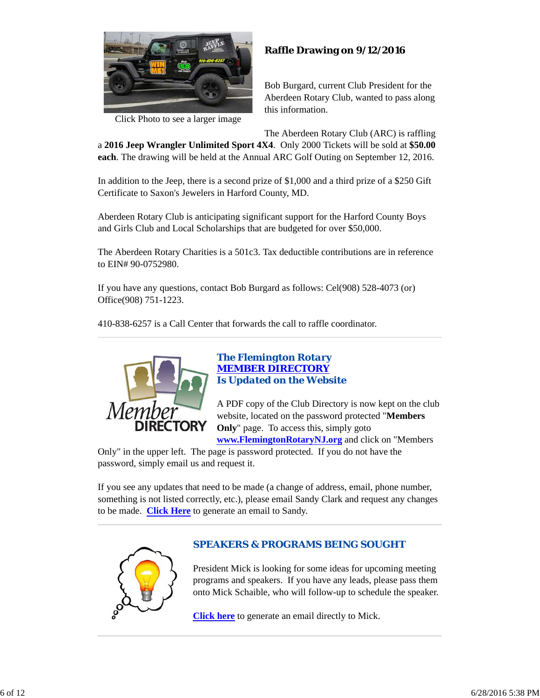

Click Photo to see a larger image

## **Raffle Drawing on 9/12/2016**

Bob Burgard, current Club President for the Aberdeen Rotary Club, wanted to pass along this information.

The Aberdeen Rotary Club (ARC) is raffling

a **2016 Jeep Wrangler Unlimited Sport 4X4**. Only 2000 Tickets will be sold at **\$50.00 each**. The drawing will be held at the Annual ARC Golf Outing on September 12, 2016.

In addition to the Jeep, there is a second prize of \$1,000 and a third prize of a \$250 Gift Certificate to Saxon's Jewelers in Harford County, MD.

Aberdeen Rotary Club is anticipating significant support for the Harford County Boys and Girls Club and Local Scholarships that are budgeted for over \$50,000.

The Aberdeen Rotary Charities is a 501c3. Tax deductible contributions are in reference to EIN# 90-0752980.

If you have any questions, contact Bob Burgard as follows: Cel(908) 528-4073 (or) Office(908) 751-1223.

410-838-6257 is a Call Center that forwards the call to raffle coordinator.



## *The Flemington Rotary MEMBER DIRECTORY Is Updated on the Website*

A PDF copy of the Club Directory is now kept on the club website, located on the password protected "**Members Only**" page. To access this, simply goto **www.FlemingtonRotaryNJ.org** and click on "Members

Only" in the upper left. The page is password protected. If you do not have the password, simply email us and request it.

If you see any updates that need to be made (a change of address, email, phone number, something is not listed correctly, etc.), please email Sandy Clark and request any changes to be made. **Click Here** to generate an email to Sandy.



## *SPEAKERS & PROGRAMS BEING SOUGHT*

President Mick is looking for some ideas for upcoming meeting programs and speakers. If you have any leads, please pass them onto Mick Schaible, who will follow-up to schedule the speaker.

**Click here** to generate an email directly to Mick.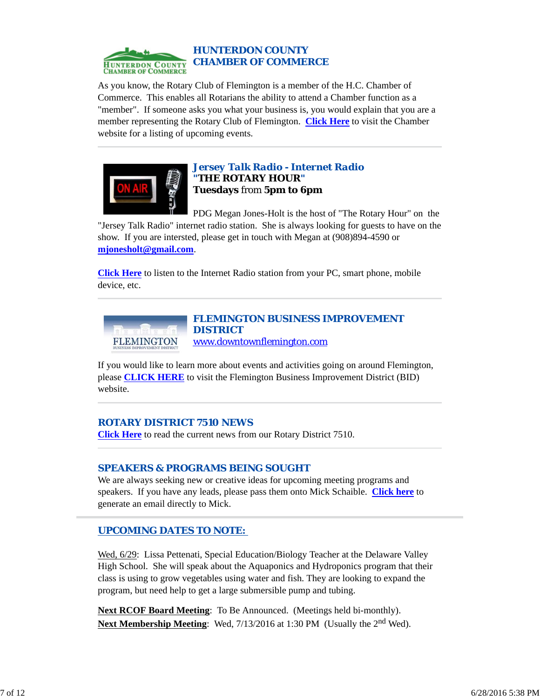

### *HUNTERDON COUNTY CHAMBER OF COMMERCE*

As you know, the Rotary Club of Flemington is a member of the H.C. Chamber of Commerce. This enables all Rotarians the ability to attend a Chamber function as a "member". If someone asks you what your business is, you would explain that you are a member representing the Rotary Club of Flemington. **Click Here** to visit the Chamber website for a listing of upcoming events.



## *Jersey Talk Radio - Internet Radio "THE ROTARY HOUR"* **Tuesdays** from **5pm to 6pm**

PDG Megan Jones-Holt is the host of "The Rotary Hour" on the "Jersey Talk Radio" internet radio station. She is always looking for guests to have on the show. If you are intersted, please get in touch with Megan at (908)894-4590 or **mjonesholt@gmail.com**.

**Click Here** to listen to the Internet Radio station from your PC, smart phone, mobile device, etc.



#### *FLEMINGTON BUSINESS IMPROVEMENT DISTRICT* www.downtownflemington.com

If you would like to learn more about events and activities going on around Flemington, please **CLICK HERE** to visit the Flemington Business Improvement District (BID) website.

## *ROTARY DISTRICT 7510 NEWS*

**Click Here** to read the current news from our Rotary District 7510.

## *SPEAKERS & PROGRAMS BEING SOUGHT*

We are always seeking new or creative ideas for upcoming meeting programs and speakers. If you have any leads, please pass them onto Mick Schaible. **Click here** to generate an email directly to Mick.

## *UPCOMING DATES TO NOTE:*

Wed, 6/29: Lissa Pettenati, Special Education/Biology Teacher at the Delaware Valley High School. She will speak about the Aquaponics and Hydroponics program that their class is using to grow vegetables using water and fish. They are looking to expand the program, but need help to get a large submersible pump and tubing.

**Next RCOF Board Meeting**: To Be Announced. (Meetings held bi-monthly). Next Membership Meeting: Wed, 7/13/2016 at 1:30 PM (Usually the 2<sup>nd</sup> Wed).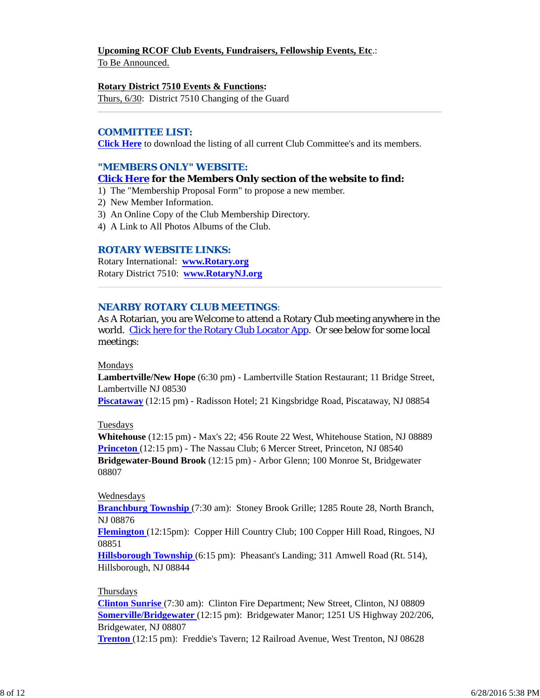## **Upcoming RCOF Club Events, Fundraisers, Fellowship Events, Etc**.:

To Be Announced.

#### **Rotary District 7510 Events & Functions:**

Thurs, 6/30: District 7510 Changing of the Guard

#### *COMMITTEE LIST:*

**Click Here** to download the listing of all current Club Committee's and its members.

## *"MEMBERS ONLY" WEBSITE:*

### **Click Here for the Members Only section of the website to find:**

1) The "Membership Proposal Form" to propose a new member.

- 2) New Member Information.
- 3) An Online Copy of the Club Membership Directory.
- 4) A Link to All Photos Albums of the Club.

#### *ROTARY WEBSITE LINKS:*

Rotary International: **www.Rotary.org** Rotary District 7510: **www.RotaryNJ.org**

### *NEARBY ROTARY CLUB MEETINGS:*

As A Rotarian, you are Welcome to attend a Rotary Club meeting anywhere in the world. Click here for the Rotary Club Locator App. Or see below for some local meetings:

### Mondays

**Lambertville/New Hope** (6:30 pm) - Lambertville Station Restaurant; 11 Bridge Street, Lambertville NJ 08530

**Piscataway** (12:15 pm) - Radisson Hotel; 21 Kingsbridge Road, Piscataway, NJ 08854

#### Tuesdays

**Whitehouse** (12:15 pm) - Max's 22; 456 Route 22 West, Whitehouse Station, NJ 08889 **Princeton** (12:15 pm) - The Nassau Club; 6 Mercer Street, Princeton, NJ 08540 **Bridgewater-Bound Brook** (12:15 pm) - Arbor Glenn; 100 Monroe St, Bridgewater 08807

### Wednesdays

**Branchburg Township** (7:30 am): Stoney Brook Grille; 1285 Route 28, North Branch, NJ 08876

**Flemington** (12:15pm): Copper Hill Country Club; 100 Copper Hill Road, Ringoes, NJ 08851

**Hillsborough Township** (6:15 pm): Pheasant's Landing; 311 Amwell Road (Rt. 514), Hillsborough, NJ 08844

#### Thursdays

**Clinton Sunrise** (7:30 am): Clinton Fire Department; New Street, Clinton, NJ 08809 **Somerville/Bridgewater** (12:15 pm): Bridgewater Manor; 1251 US Highway 202/206, Bridgewater, NJ 08807

**Trenton** (12:15 pm): Freddie's Tavern; 12 Railroad Avenue, West Trenton, NJ 08628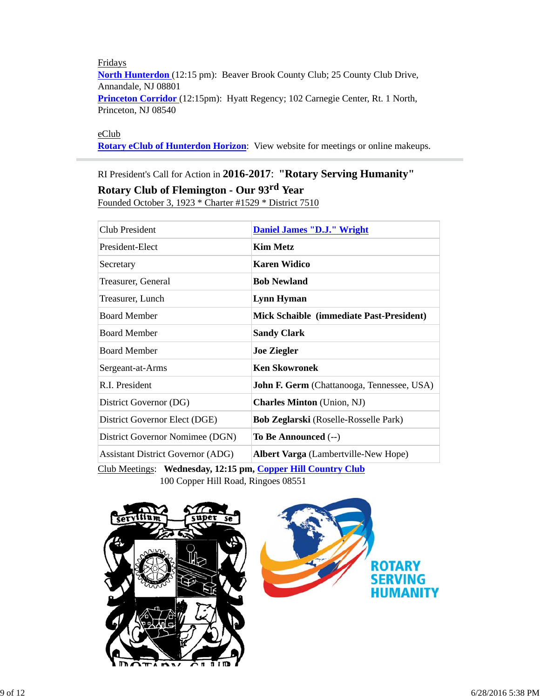Fridays **North Hunterdon** (12:15 pm): Beaver Brook County Club; 25 County Club Drive, Annandale, NJ 08801 **Princeton Corridor** (12:15pm): Hyatt Regency; 102 Carnegie Center, Rt. 1 North, Princeton, NJ 08540

eClub

**Rotary eClub of Hunterdon Horizon**: View website for meetings or online makeups.

# RI President's Call for Action in **2016-2017**: **"Rotary Serving Humanity" Rotary Club of Flemington - Our 93rd Year**

Founded October 3, 1923 \* Charter #1529 \* District 7510

| Club President                           | <b>Daniel James "D.J." Wright</b>                 |
|------------------------------------------|---------------------------------------------------|
| President-Elect                          | <b>Kim Metz</b>                                   |
| Secretary                                | <b>Karen Widico</b>                               |
| Treasurer, General                       | <b>Bob Newland</b>                                |
| Treasurer, Lunch                         | Lynn Hyman                                        |
| <b>Board Member</b>                      | <b>Mick Schaible (immediate Past-President)</b>   |
| <b>Board Member</b>                      | <b>Sandy Clark</b>                                |
| <b>Board Member</b>                      | <b>Joe Ziegler</b>                                |
| Sergeant-at-Arms                         | <b>Ken Skowronek</b>                              |
| R.I. President                           | <b>John F. Germ</b> (Chattanooga, Tennessee, USA) |
| District Governor (DG)                   | <b>Charles Minton</b> (Union, NJ)                 |
| District Governor Elect (DGE)            | <b>Bob Zeglarski</b> (Roselle-Rosselle Park)      |
| District Governor Nomimee (DGN)          | To Be Announced $(-)$                             |
| <b>Assistant District Governor (ADG)</b> | Albert Varga (Lambertville-New Hope)              |

Club Meetings: **Wednesday, 12:15 pm, Copper Hill Country Club** 100 Copper Hill Road, Ringoes 08551

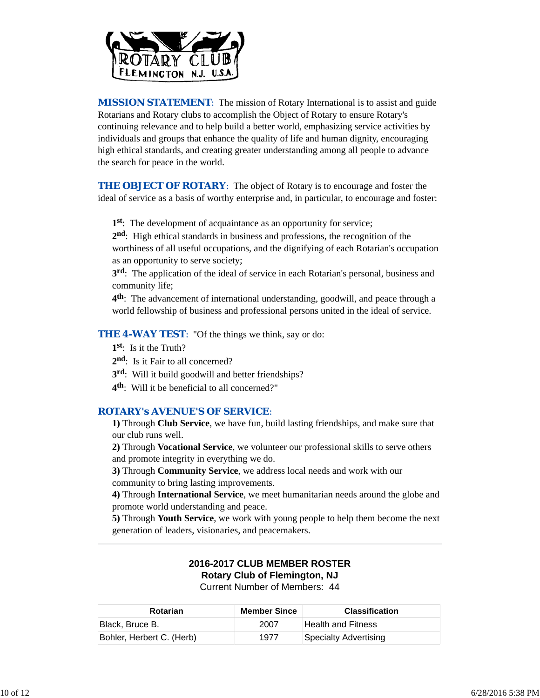

*MISSION STATEMENT*: The mission of Rotary International is to assist and guide Rotarians and Rotary clubs to accomplish the Object of Rotary to ensure Rotary's continuing relevance and to help build a better world, emphasizing service activities by individuals and groups that enhance the quality of life and human dignity, encouraging high ethical standards, and creating greater understanding among all people to advance the search for peace in the world.

**THE OBJECT OF ROTARY:** The object of Rotary is to encourage and foster the ideal of service as a basis of worthy enterprise and, in particular, to encourage and foster:

**1st**: The development of acquaintance as an opportunity for service;

**2nd**: High ethical standards in business and professions, the recognition of the worthiness of all useful occupations, and the dignifying of each Rotarian's occupation as an opportunity to serve society;

**3rd**: The application of the ideal of service in each Rotarian's personal, business and community life;

**4th**: The advancement of international understanding, goodwill, and peace through a world fellowship of business and professional persons united in the ideal of service.

**THE 4-WAY TEST:** "Of the things we think, say or do:

**1st**: Is it the Truth?

- 2<sup>nd</sup>: Is it Fair to all concerned?
- **3rd**: Will it build goodwill and better friendships?
- **4th**: Will it be beneficial to all concerned?"

### *ROTARY's AVENUE'S OF SERVICE*:

**1)** Through **Club Service**, we have fun, build lasting friendships, and make sure that our club runs well.

**2)** Through **Vocational Service**, we volunteer our professional skills to serve others and promote integrity in everything we do.

**3)** Through **Community Service**, we address local needs and work with our community to bring lasting improvements.

**4)** Through **International Service**, we meet humanitarian needs around the globe and promote world understanding and peace.

**5)** Through **Youth Service**, we work with young people to help them become the next generation of leaders, visionaries, and peacemakers.

#### **2016-2017 CLUB MEMBER ROSTER Rotary Club of Flemington, NJ** Current Number of Members: 44

| <b>Rotarian</b>           | <b>Member Since</b> | <b>Classification</b> |
|---------------------------|---------------------|-----------------------|
| Black, Bruce B.           | 2007                | Health and Fitness    |
| Bohler, Herbert C. (Herb) | 1977                | Specialty Advertising |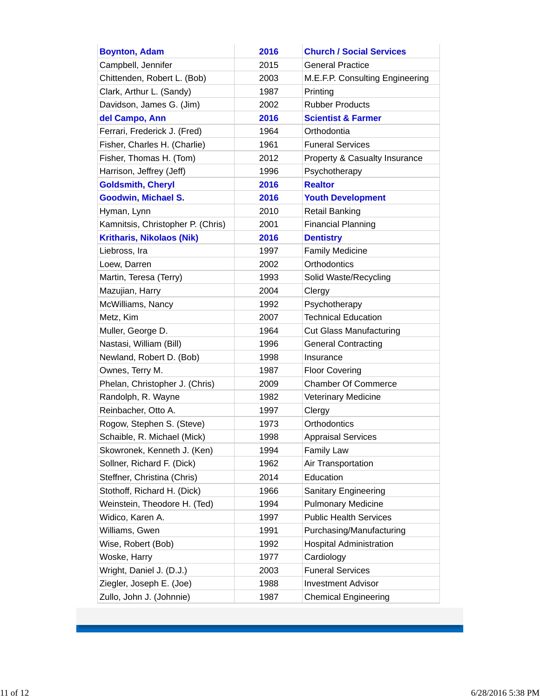| <b>Boynton, Adam</b>              | 2016 | <b>Church / Social Services</b>          |
|-----------------------------------|------|------------------------------------------|
| Campbell, Jennifer                | 2015 | <b>General Practice</b>                  |
| Chittenden, Robert L. (Bob)       | 2003 | M.E.F.P. Consulting Engineering          |
| Clark, Arthur L. (Sandy)          | 1987 | Printing                                 |
| Davidson, James G. (Jim)          | 2002 | <b>Rubber Products</b>                   |
| del Campo, Ann                    | 2016 | <b>Scientist &amp; Farmer</b>            |
| Ferrari, Frederick J. (Fred)      | 1964 | Orthodontia                              |
| Fisher, Charles H. (Charlie)      | 1961 | <b>Funeral Services</b>                  |
| Fisher, Thomas H. (Tom)           | 2012 | <b>Property &amp; Casualty Insurance</b> |
| Harrison, Jeffrey (Jeff)          | 1996 | Psychotherapy                            |
| <b>Goldsmith, Cheryl</b>          | 2016 | <b>Realtor</b>                           |
| <b>Goodwin, Michael S.</b>        | 2016 | <b>Youth Development</b>                 |
| Hyman, Lynn                       | 2010 | <b>Retail Banking</b>                    |
| Kamnitsis, Christopher P. (Chris) | 2001 | <b>Financial Planning</b>                |
| <b>Kritharis, Nikolaos (Nik)</b>  | 2016 | <b>Dentistry</b>                         |
| Liebross, Ira                     | 1997 | <b>Family Medicine</b>                   |
| Loew, Darren                      | 2002 | Orthodontics                             |
| Martin, Teresa (Terry)            | 1993 | Solid Waste/Recycling                    |
| Mazujian, Harry                   | 2004 | Clergy                                   |
| McWilliams, Nancy                 | 1992 | Psychotherapy                            |
| Metz, Kim                         | 2007 | <b>Technical Education</b>               |
| Muller, George D.                 | 1964 | <b>Cut Glass Manufacturing</b>           |
| Nastasi, William (Bill)           | 1996 | <b>General Contracting</b>               |
| Newland, Robert D. (Bob)          | 1998 | Insurance                                |
| Ownes, Terry M.                   | 1987 | <b>Floor Covering</b>                    |
| Phelan, Christopher J. (Chris)    | 2009 | <b>Chamber Of Commerce</b>               |
| Randolph, R. Wayne                | 1982 | <b>Veterinary Medicine</b>               |
| Reinbacher, Otto A.               | 1997 | Clergy                                   |
| Rogow, Stephen S. (Steve)         | 1973 | Orthodontics                             |
| Schaible, R. Michael (Mick)       | 1998 | <b>Appraisal Services</b>                |
| Skowronek, Kenneth J. (Ken)       | 1994 | <b>Family Law</b>                        |
| Sollner, Richard F. (Dick)        | 1962 | Air Transportation                       |
| Steffner, Christina (Chris)       | 2014 | Education                                |
| Stothoff, Richard H. (Dick)       | 1966 | Sanitary Engineering                     |
| Weinstein, Theodore H. (Ted)      | 1994 | <b>Pulmonary Medicine</b>                |
| Widico, Karen A.                  | 1997 | <b>Public Health Services</b>            |
| Williams, Gwen                    | 1991 | Purchasing/Manufacturing                 |
| Wise, Robert (Bob)                | 1992 | <b>Hospital Administration</b>           |
| Woske, Harry                      | 1977 | Cardiology                               |
| Wright, Daniel J. (D.J.)          | 2003 | <b>Funeral Services</b>                  |
| Ziegler, Joseph E. (Joe)          | 1988 | <b>Investment Advisor</b>                |
| Zullo, John J. (Johnnie)          | 1987 | <b>Chemical Engineering</b>              |